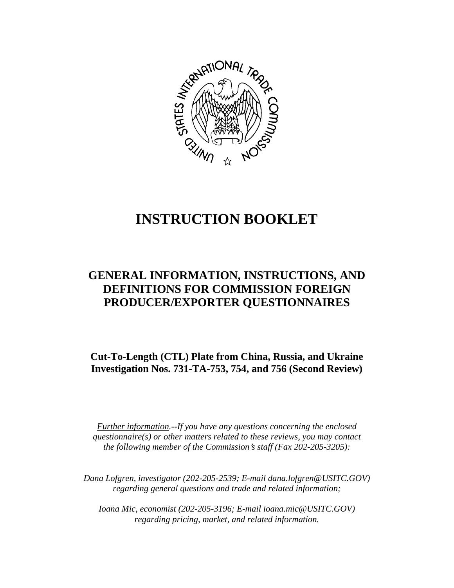

# **INSTRUCTION BOOKLET**

# **GENERAL INFORMATION, INSTRUCTIONS, AND DEFINITIONS FOR COMMISSION FOREIGN PRODUCER/EXPORTER QUESTIONNAIRES**

**Cut-To-Length (CTL) Plate from China, Russia, and Ukraine Investigation Nos. 731-TA-753, 754, and 756 (Second Review)**

*Further information.--If you have any questions concerning the enclosed questionnaire(s) or other matters related to these reviews, you may contact the following member of the Commission*=*s staff (Fax 202-205-3205):* 

 *Dana Lofgren, investigator (202-205-2539; E-mail dana.lofgren@USITC.GOV) regarding general questions and trade and related information;* 

 *Ioana Mic, economist (202-205-3196; E-mail ioana.mic@USITC.GOV) regarding pricing, market, and related information.*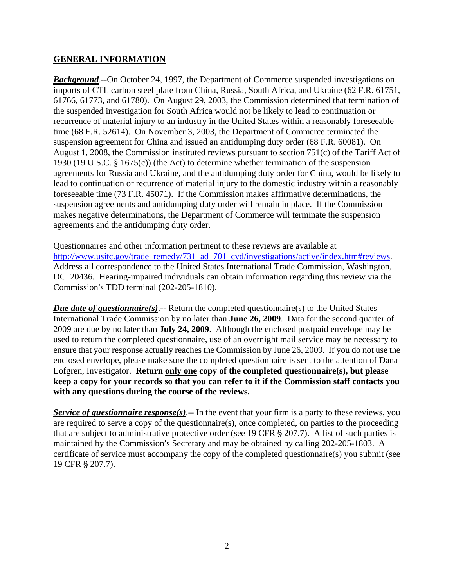# **GENERAL INFORMATION**

*Background*.--On October 24, 1997, the Department of Commerce suspended investigations on imports of CTL carbon steel plate from China, Russia, South Africa, and Ukraine (62 F.R. 61751, 61766, 61773, and 61780). On August 29, 2003, the Commission determined that termination of the suspended investigation for South Africa would not be likely to lead to continuation or recurrence of material injury to an industry in the United States within a reasonably foreseeable time (68 F.R. 52614). On November 3, 2003, the Department of Commerce terminated the suspension agreement for China and issued an antidumping duty order (68 F.R. 60081). On August 1, 2008, the Commission instituted reviews pursuant to section 751(c) of the Tariff Act of 1930 (19 U.S.C. § 1675(c)) (the Act) to determine whether termination of the suspension agreements for Russia and Ukraine, and the antidumping duty order for China, would be likely to lead to continuation or recurrence of material injury to the domestic industry within a reasonably foreseeable time (73 F.R. 45071). If the Commission makes affirmative determinations, the suspension agreements and antidumping duty order will remain in place. If the Commission makes negative determinations, the Department of Commerce will terminate the suspension agreements and the antidumping duty order.

Questionnaires and other information pertinent to these reviews are available at http://www.usitc.gov/trade\_remedy/731\_ad\_701\_cvd/investigations/active/index.htm#reviews. Address all correspondence to the United States International Trade Commission, Washington, DC 20436. Hearing-impaired individuals can obtain information regarding this review via the Commission's TDD terminal (202-205-1810).

*Due date of questionnaire(s)*.-- Return the completed questionnaire(s) to the United States International Trade Commission by no later than **June 26, 2009**. Data for the second quarter of 2009 are due by no later than **July 24, 2009**. Although the enclosed postpaid envelope may be used to return the completed questionnaire, use of an overnight mail service may be necessary to ensure that your response actually reaches the Commission by June 26, 2009. If you do not use the enclosed envelope, please make sure the completed questionnaire is sent to the attention of Dana Lofgren, Investigator. **Return only one copy of the completed questionnaire(s), but please keep a copy for your records so that you can refer to it if the Commission staff contacts you with any questions during the course of the reviews.**

*Service of questionnaire response(s)*.-- In the event that your firm is a party to these reviews, you are required to serve a copy of the questionnaire(s), once completed, on parties to the proceeding that are subject to administrative protective order (see 19 CFR  $\S 207.7$ ). A list of such parties is maintained by the Commission's Secretary and may be obtained by calling 202-205-1803. A certificate of service must accompany the copy of the completed questionnaire(s) you submit (see 19 CFR § 207.7).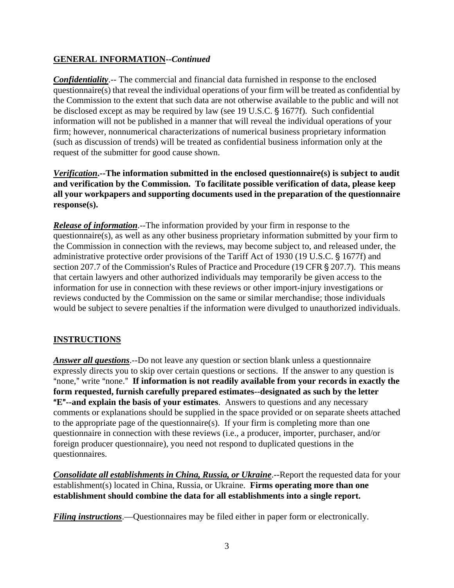# **GENERAL INFORMATION--***Continued*

*Confidentiality*.-- The commercial and financial data furnished in response to the enclosed questionnaire(s) that reveal the individual operations of your firm will be treated as confidential by the Commission to the extent that such data are not otherwise available to the public and will not be disclosed except as may be required by law (see 19 U.S.C. § 1677f). Such confidential information will not be published in a manner that will reveal the individual operations of your firm; however, nonnumerical characterizations of numerical business proprietary information (such as discussion of trends) will be treated as confidential business information only at the request of the submitter for good cause shown.

*Verification***.--The information submitted in the enclosed questionnaire(s) is subject to audit and verification by the Commission. To facilitate possible verification of data, please keep all your workpapers and supporting documents used in the preparation of the questionnaire response(s).**

*Release of information*.--The information provided by your firm in response to the questionnaire(s), as well as any other business proprietary information submitted by your firm to the Commission in connection with the reviews, may become subject to, and released under, the administrative protective order provisions of the Tariff Act of 1930 (19 U.S.C. § 1677f) and section 207.7 of the Commission's Rules of Practice and Procedure (19 CFR  $\S$  207.7). This means that certain lawyers and other authorized individuals may temporarily be given access to the information for use in connection with these reviews or other import-injury investigations or reviews conducted by the Commission on the same or similar merchandise; those individuals would be subject to severe penalties if the information were divulged to unauthorized individuals.

# **INSTRUCTIONS**

*Answer all questions*.--Do not leave any question or section blank unless a questionnaire expressly directs you to skip over certain questions or sections. If the answer to any question is "none," write "none." If information is not readily available from your records in exactly the **form requested, furnish carefully prepared estimates--designated as such by the letter E<sup>"</sup>--and explain the basis of your estimates**. Answers to questions and any necessary comments or explanations should be supplied in the space provided or on separate sheets attached to the appropriate page of the questionnaire(s). If your firm is completing more than one questionnaire in connection with these reviews (i.e., a producer, importer, purchaser, and/or foreign producer questionnaire), you need not respond to duplicated questions in the questionnaires.

*Consolidate all establishments in China, Russia, or Ukraine*.--Report the requested data for your establishment(s) located in China, Russia, or Ukraine. **Firms operating more than one establishment should combine the data for all establishments into a single report.** 

*Filing instructions*.—Questionnaires may be filed either in paper form or electronically.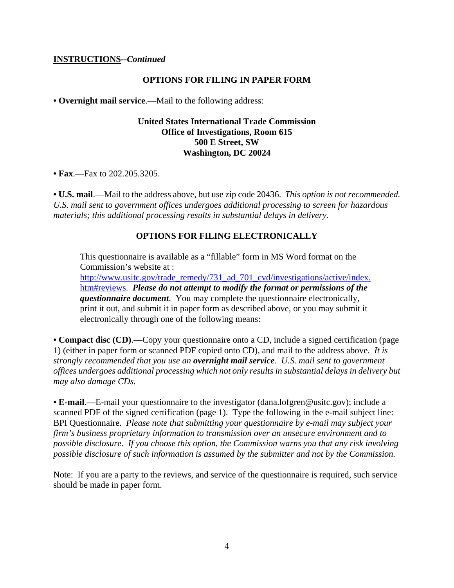#### **INSTRUCTIONS--***Continued*

#### **OPTIONS FOR FILING IN PAPER FORM**

**• Overnight mail service**.—Mail to the following address:

# **United States International Trade Commission Office of Investigations, Room 615 500 E Street, SW Washington, DC 20024**

**• Fax**.—Fax to 202.205.3205.

**• U.S. mail**.—Mail to the address above, but use zip code 20436. *This option is not recommended. U.S. mail sent to government offices undergoes additional processing to screen for hazardous materials; this additional processing results in substantial delays in delivery.* 

#### **OPTIONS FOR FILING ELECTRONICALLY**

This questionnaire is available as a "fillable" form in MS Word format on the Commission's website at :

http://www.usitc.gov/trade\_remedy/731\_ad\_701\_cvd/investigations/active/index. htm#reviews. *Please do not attempt to modify the format or permissions of the questionnaire document*. You may complete the questionnaire electronically, print it out, and submit it in paper form as described above, or you may submit it electronically through one of the following means:

**• Compact disc (CD)**.—Copy your questionnaire onto a CD, include a signed certification (page 1) (either in paper form or scanned PDF copied onto CD), and mail to the address above. *It is strongly recommended that you use an overnight mail service. U.S. mail sent to government offices undergoes additional processing which not only results in substantial delays in delivery but may also damage CDs.* 

**• E-mail**.—E-mail your questionnaire to the investigator (dana.lofgren@usitc.gov); include a scanned PDF of the signed certification (page 1). Type the following in the e-mail subject line: BPI Questionnaire. *Please note that submitting your questionnaire by e-mail may subject your firm's business proprietary information to transmission over an unsecure environment and to possible disclosure. If you choose this option, the Commission warns you that any risk involving possible disclosure of such information is assumed by the submitter and not by the Commission.* 

Note: If you are a party to the reviews, and service of the questionnaire is required, such service should be made in paper form.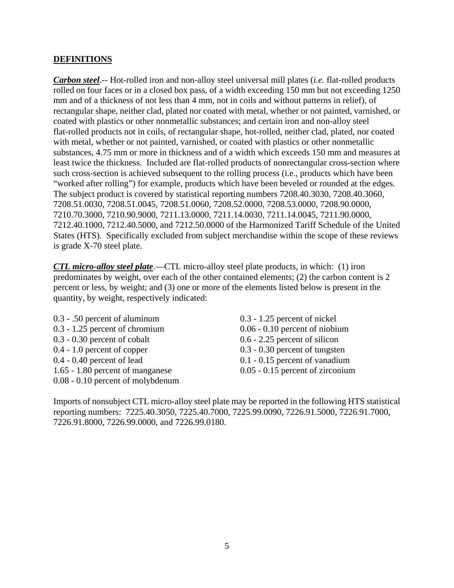# **DEFINITIONS**

*Carbon steel*.-- Hot-rolled iron and non-alloy steel universal mill plates (*i.e.* flat-rolled products rolled on four faces or in a closed box pass, of a width exceeding 150 mm but not exceeding 1250 mm and of a thickness of not less than 4 mm, not in coils and without patterns in relief), of rectangular shape, neither clad, plated nor coated with metal, whether or not painted, varnished, or coated with plastics or other nonmetallic substances; and certain iron and non-alloy steel flat-rolled products not in coils, of rectangular shape, hot-rolled, neither clad, plated, nor coated with metal, whether or not painted, varnished, or coated with plastics or other nonmetallic substances, 4.75 mm or more in thickness and of a width which exceeds 150 mm and measures at least twice the thickness. Included are flat-rolled products of nonrectangular cross-section where such cross-section is achieved subsequent to the rolling process (i.e., products which have been "worked after rolling") for example, products which have been beveled or rounded at the edges. The subject product is covered by statistical reporting numbers 7208.40.3030, 7208.40.3060, 7208.51.0030, 7208.51.0045, 7208.51.0060, 7208.52.0000, 7208.53.0000, 7208.90.0000, 7210.70.3000, 7210.90.9000, 7211.13.0000, 7211.14.0030, 7211.14.0045, 7211.90.0000, 7212.40.1000, 7212.40.5000, and 7212.50.0000 of the Harmonized Tariff Schedule of the United States (HTS). Specifically excluded from subject merchandise within the scope of these reviews is grade X-70 steel plate.

*CTL micro-alloy steel plate*.—CTL micro-alloy steel plate products, in which: (1) iron predominates by weight, over each of the other contained elements; (2) the carbon content is 2 percent or less, by weight; and (3) one or more of the elements listed below is present in the quantity, by weight, respectively indicated:

0.3 - .50 percent of aluminum 0.3 - 1.25 percent of nickel 0.3 - 1.25 percent of chromium 0.06 - 0.10 percent of niobium 0.3 - 0.30 percent of cobalt 0.6 - 2.25 percent of silicon 0.4 - 1.0 percent of copper 0.3 - 0.30 percent of tungsten 0.4 - 0.40 percent of lead 0.1 - 0.15 percent of vanadium 1.65 - 1.80 percent of manganese 0.05 - 0.15 percent of zirconium 0.08 - 0.10 percent of molybdenum

Imports of nonsubject CTL micro-alloy steel plate may be reported in the following HTS statistical reporting numbers: 7225.40.3050, 7225.40.7000, 7225.99.0090, 7226.91.5000, 7226.91.7000, 7226.91.8000, 7226.99.0000, and 7226.99.0180.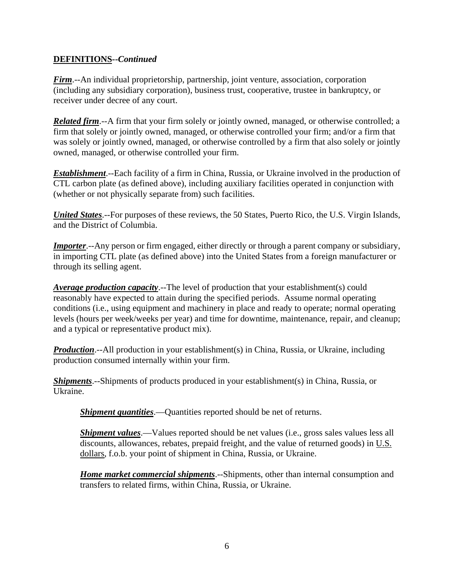# **DEFINITIONS--***Continued*

*Firm*.--An individual proprietorship, partnership, joint venture, association, corporation (including any subsidiary corporation), business trust, cooperative, trustee in bankruptcy, or receiver under decree of any court.

*Related firm*.--A firm that your firm solely or jointly owned, managed, or otherwise controlled; a firm that solely or jointly owned, managed, or otherwise controlled your firm; and/or a firm that was solely or jointly owned, managed, or otherwise controlled by a firm that also solely or jointly owned, managed, or otherwise controlled your firm.

*Establishment*.--Each facility of a firm in China, Russia, or Ukraine involved in the production of CTL carbon plate (as defined above), including auxiliary facilities operated in conjunction with (whether or not physically separate from) such facilities.

*United States*.--For purposes of these reviews, the 50 States, Puerto Rico, the U.S. Virgin Islands, and the District of Columbia.

*Importer.*--Any person or firm engaged, either directly or through a parent company or subsidiary, in importing CTL plate (as defined above) into the United States from a foreign manufacturer or through its selling agent.

*Average production capacity*.--The level of production that your establishment(s) could reasonably have expected to attain during the specified periods. Assume normal operating conditions (i.e., using equipment and machinery in place and ready to operate; normal operating levels (hours per week/weeks per year) and time for downtime, maintenance, repair, and cleanup; and a typical or representative product mix).

*Production*.--All production in your establishment(s) in China, Russia, or Ukraine, including production consumed internally within your firm.

*Shipments*.--Shipments of products produced in your establishment(s) in China, Russia, or Ukraine.

*Shipment quantities*.—Quantities reported should be net of returns.

*Shipment values*.—Values reported should be net values (i.e., gross sales values less all discounts, allowances, rebates, prepaid freight, and the value of returned goods) in U.S. dollars, f.o.b. your point of shipment in China, Russia, or Ukraine.

*Home market commercial shipments*.--Shipments, other than internal consumption and transfers to related firms, within China, Russia, or Ukraine.